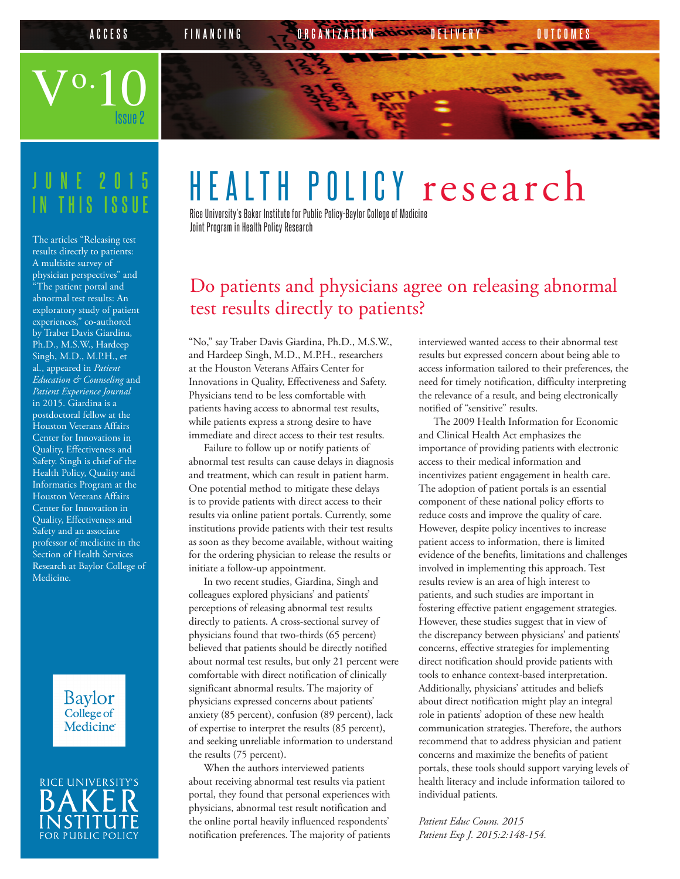Issue 2

**ACCESS FINANCING CORGANIZATION DELIVERY OUTCOME** 

## **JUNE 2015 IN THIS ISSUE**

 $\rm V^{o.}10$ 

The articles "Releasing test results directly to patients: A multisite survey of physician perspectives" and "The patient portal and abnormal test results: An exploratory study of patient experiences," co-authored by Traber Davis Giardina, Ph.D., M.S.W., Hardeep Singh, M.D., M.P.H., et al., appeared in *Patient Education & Counseling* and *Patient Experience Journal* in 2015. Giardina is a postdoctoral fellow at the Houston Veterans Affairs Center for Innovations in Quality, Effectiveness and Safety. Singh is chief of the Health Policy, Quality and Informatics Program at the Houston Veterans Affairs Center for Innovation in Quality, Effectiveness and Safety and an associate professor of medicine in the Section of Health Services Research at Baylor College of Medicine.

> **Baylor** College of **Medicine**



# HEALTH POLICY research

Rice University's Baker Institute for Public Policy-Baylor College of Medicine Joint Program in Health Policy Research

### Do patients and physicians agree on releasing abnormal test results directly to patients?

"No," say Traber Davis Giardina, Ph.D., M.S.W., and Hardeep Singh, M.D., M.P.H., researchers at the Houston Veterans Affairs Center for Innovations in Quality, Effectiveness and Safety. Physicians tend to be less comfortable with patients having access to abnormal test results, while patients express a strong desire to have immediate and direct access to their test results.

Failure to follow up or notify patients of abnormal test results can cause delays in diagnosis and treatment, which can result in patient harm. One potential method to mitigate these delays is to provide patients with direct access to their results via online patient portals. Currently, some institutions provide patients with their test results as soon as they become available, without waiting for the ordering physician to release the results or initiate a follow-up appointment.

In two recent studies, Giardina, Singh and colleagues explored physicians' and patients' perceptions of releasing abnormal test results directly to patients. A cross-sectional survey of physicians found that two-thirds (65 percent) believed that patients should be directly notified about normal test results, but only 21 percent were comfortable with direct notification of clinically significant abnormal results. The majority of physicians expressed concerns about patients' anxiety (85 percent), confusion (89 percent), lack of expertise to interpret the results (85 percent), and seeking unreliable information to understand the results (75 percent).

When the authors interviewed patients about receiving abnormal test results via patient portal, they found that personal experiences with physicians, abnormal test result notification and the online portal heavily influenced respondents' notification preferences. The majority of patients

interviewed wanted access to their abnormal test results but expressed concern about being able to access information tailored to their preferences, the need for timely notification, difficulty interpreting the relevance of a result, and being electronically notified of "sensitive" results.

The 2009 Health Information for Economic and Clinical Health Act emphasizes the importance of providing patients with electronic access to their medical information and incentivizes patient engagement in health care. The adoption of patient portals is an essential component of these national policy efforts to reduce costs and improve the quality of care. However, despite policy incentives to increase patient access to information, there is limited evidence of the benefits, limitations and challenges involved in implementing this approach. Test results review is an area of high interest to patients, and such studies are important in fostering effective patient engagement strategies. However, these studies suggest that in view of the discrepancy between physicians' and patients' concerns, effective strategies for implementing direct notification should provide patients with tools to enhance context-based interpretation. Additionally, physicians' attitudes and beliefs about direct notification might play an integral role in patients' adoption of these new health communication strategies. Therefore, the authors recommend that to address physician and patient concerns and maximize the benefits of patient portals, these tools should support varying levels of health literacy and include information tailored to individual patients.

*Patient Educ Couns. 2015 Patient Exp J. 2015:2:148-154.*